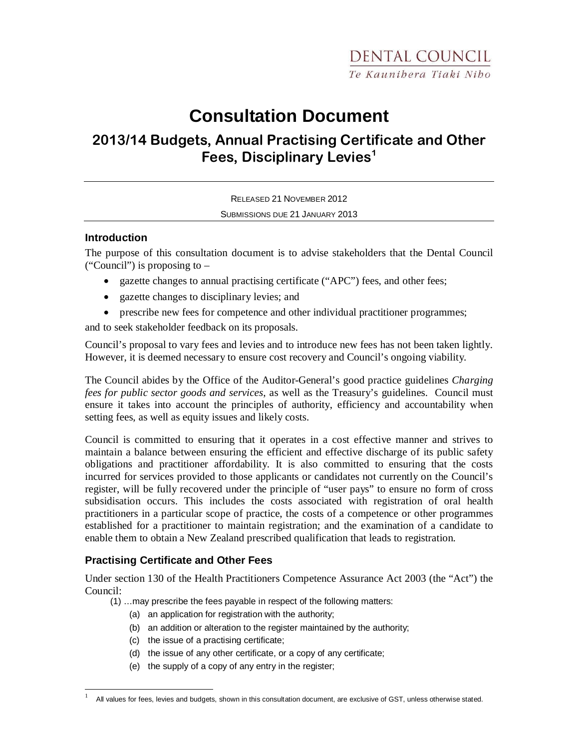# **Consultation Document**

# 2013/14 Budgets, Annual Practising Certificate and Other Fees, Disciplinary Levies<sup>1</sup>

RELEASED 21 NOVEMBER 2012 SUBMISSIONS DUE 21 JANUARY 2013

#### **Introduction**

The purpose of this consultation document is to advise stakeholders that the Dental Council ("Council") is proposing to –

- gazette changes to annual practising certificate ("APC") fees, and other fees;
- gazette changes to disciplinary levies; and
- prescribe new fees for competence and other individual practitioner programmes;

and to seek stakeholder feedback on its proposals.

Council's proposal to vary fees and levies and to introduce new fees has not been taken lightly. However, it is deemed necessary to ensure cost recovery and Council's ongoing viability.

The Council abides by the Office of the Auditor-General's good practice guidelines *Charging fees for public sector goods and services*, as well as the Treasury's guidelines. Council must ensure it takes into account the principles of authority, efficiency and accountability when setting fees, as well as equity issues and likely costs.

Council is committed to ensuring that it operates in a cost effective manner and strives to maintain a balance between ensuring the efficient and effective discharge of its public safety obligations and practitioner affordability. It is also committed to ensuring that the costs incurred for services provided to those applicants or candidates not currently on the Council's register, will be fully recovered under the principle of "user pays" to ensure no form of cross subsidisation occurs. This includes the costs associated with registration of oral health practitioners in a particular scope of practice, the costs of a competence or other programmes established for a practitioner to maintain registration; and the examination of a candidate to enable them to obtain a New Zealand prescribed qualification that leads to registration.

# **Practising Certificate and Other Fees**

-

Under section 130 of the Health Practitioners Competence Assurance Act 2003 (the "Act") the Council:

- (1) …may prescribe the fees payable in respect of the following matters:
	- (a) an application for registration with the authority;
	- (b) an addition or alteration to the register maintained by the authority;
	- (c) the issue of a practising certificate;
	- (d) the issue of any other certificate, or a copy of any certificate;
	- (e) the supply of a copy of any entry in the register;

<sup>1</sup> All values for fees, levies and budgets, shown in this consultation document, are exclusive of GST, unless otherwise stated.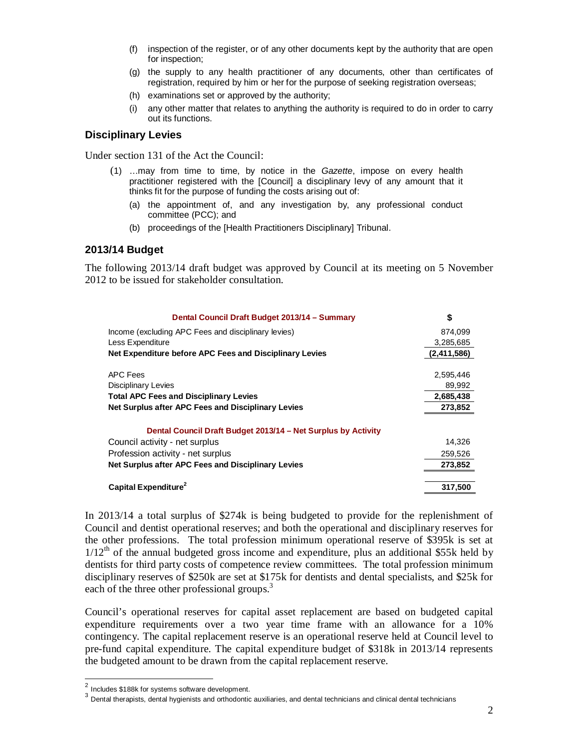- (f) inspection of the register, or of any other documents kept by the authority that are open for inspection;
- (g) the supply to any health practitioner of any documents, other than certificates of registration, required by him or her for the purpose of seeking registration overseas;
- (h) examinations set or approved by the authority;
- (i) any other matter that relates to anything the authority is required to do in order to carry out its functions.

#### **Disciplinary Levies**

Under section 131 of the Act the Council:

- (1) …may from time to time, by notice in the Gazette, impose on every health practitioner registered with the [Council] a disciplinary levy of any amount that it thinks fit for the purpose of funding the costs arising out of:
	- (a) the appointment of, and any investigation by, any professional conduct committee (PCC); and
	- (b) proceedings of the [Health Practitioners Disciplinary] Tribunal.

#### **2013/14 Budget**

The following 2013/14 draft budget was approved by Council at its meeting on 5 November 2012 to be issued for stakeholder consultation.

| Dental Council Draft Budget 2013/14 - Summary                 | \$          |
|---------------------------------------------------------------|-------------|
| Income (excluding APC Fees and disciplinary levies)           | 874,099     |
| Less Expenditure                                              | 3,285,685   |
| Net Expenditure before APC Fees and Disciplinary Levies       | (2,411,586) |
| <b>APC Fees</b>                                               | 2,595,446   |
| <b>Disciplinary Levies</b>                                    | 89,992      |
| <b>Total APC Fees and Disciplinary Levies</b>                 | 2,685,438   |
| Net Surplus after APC Fees and Disciplinary Levies            | 273,852     |
| Dental Council Draft Budget 2013/14 – Net Surplus by Activity |             |
| Council activity - net surplus                                | 14,326      |
| Profession activity - net surplus                             | 259,526     |
| Net Surplus after APC Fees and Disciplinary Levies            | 273,852     |
| Capital Expenditure <sup>2</sup>                              | 317.500     |

In 2013/14 a total surplus of \$274k is being budgeted to provide for the replenishment of Council and dentist operational reserves; and both the operational and disciplinary reserves for the other professions. The total profession minimum operational reserve of \$395k is set at  $1/12<sup>th</sup>$  of the annual budgeted gross income and expenditure, plus an additional \$55k held by dentists for third party costs of competence review committees. The total profession minimum disciplinary reserves of \$250k are set at \$175k for dentists and dental specialists, and \$25k for each of the three other professional groups.<sup>3</sup>

Council's operational reserves for capital asset replacement are based on budgeted capital expenditure requirements over a two year time frame with an allowance for a 10% contingency. The capital replacement reserve is an operational reserve held at Council level to pre-fund capital expenditure. The capital expenditure budget of \$318k in 2013/14 represents the budgeted amount to be drawn from the capital replacement reserve.

 2 Includes \$188k for systems software development.

 $^3$  Dental therapists, dental hygienists and orthodontic auxiliaries, and dental technicians and clinical dental technicians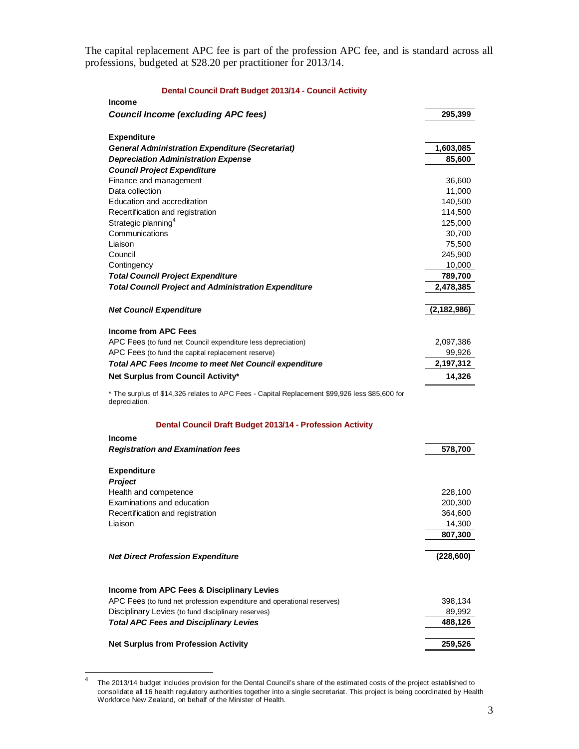The capital replacement APC fee is part of the profession APC fee, and is standard across all professions, budgeted at \$28.20 per practitioner for 2013/14.

#### **Dental Council Draft Budget 2013/14 - Council Activity**

| <b>Income</b>                                                                                  |               |
|------------------------------------------------------------------------------------------------|---------------|
| <b>Council Income (excluding APC fees)</b>                                                     | 295,399       |
|                                                                                                |               |
| <b>Expenditure</b>                                                                             |               |
| <b>General Administration Expenditure (Secretariat)</b>                                        | 1,603,085     |
| <b>Depreciation Administration Expense</b>                                                     | 85,600        |
| <b>Council Project Expenditure</b>                                                             |               |
| Finance and management                                                                         | 36,600        |
| Data collection                                                                                | 11,000        |
| Education and accreditation                                                                    | 140,500       |
| Recertification and registration                                                               | 114,500       |
| Strategic planning <sup>4</sup>                                                                | 125,000       |
| Communications                                                                                 | 30,700        |
| Liaison                                                                                        | 75,500        |
| Council                                                                                        | 245,900       |
| Contingency                                                                                    | 10,000        |
| <b>Total Council Project Expenditure</b>                                                       | 789,700       |
| <b>Total Council Project and Administration Expenditure</b>                                    | 2,478,385     |
|                                                                                                |               |
| <b>Net Council Expenditure</b>                                                                 | (2, 182, 986) |
|                                                                                                |               |
| <b>Income from APC Fees</b>                                                                    |               |
| APC Fees (to fund net Council expenditure less depreciation)                                   | 2,097,386     |
| APC Fees (to fund the capital replacement reserve)                                             | 99,926        |
| <b>Total APC Fees Income to meet Net Council expenditure</b>                                   | 2,197,312     |
| Net Surplus from Council Activity*                                                             | 14,326        |
|                                                                                                |               |
| * The surplus of \$14,326 relates to APC Fees - Capital Replacement \$99,926 less \$85,600 for |               |
| depreciation.                                                                                  |               |
|                                                                                                |               |
| Dental Council Draft Budget 2013/14 - Profession Activity                                      |               |
| <b>Income</b>                                                                                  |               |
| <b>Registration and Examination fees</b>                                                       | 578,700       |
|                                                                                                |               |
| <b>Expenditure</b>                                                                             |               |
| <b>Project</b>                                                                                 |               |
| Health and competence                                                                          | 228,100       |
| Examinations and education                                                                     | 200,300       |
| Recertification and registration                                                               | 364,600       |
| Liaison                                                                                        | 14,300        |
|                                                                                                | 807,300       |
|                                                                                                |               |
| <b>Net Direct Profession Expenditure</b>                                                       | (228, 600)    |
|                                                                                                |               |
|                                                                                                |               |
| Income from APC Fees & Disciplinary Levies                                                     |               |
| APC Fees (to fund net profession expenditure and operational reserves)                         | 398,134       |
| Disciplinary Levies (to fund disciplinary reserves)                                            | 89,992        |
| <b>Total APC Fees and Disciplinary Levies</b>                                                  | 488,126       |
|                                                                                                |               |
| <b>Net Surplus from Profession Activity</b>                                                    | 259,526       |

 $\frac{1}{4}$  The 2013/14 budget includes provision for the Dental Council's share of the estimated costs of the project established to consolidate all 16 health regulatory authorities together into a single secretariat. This project is being coordinated by Health Workforce New Zealand, on behalf of the Minister of Health.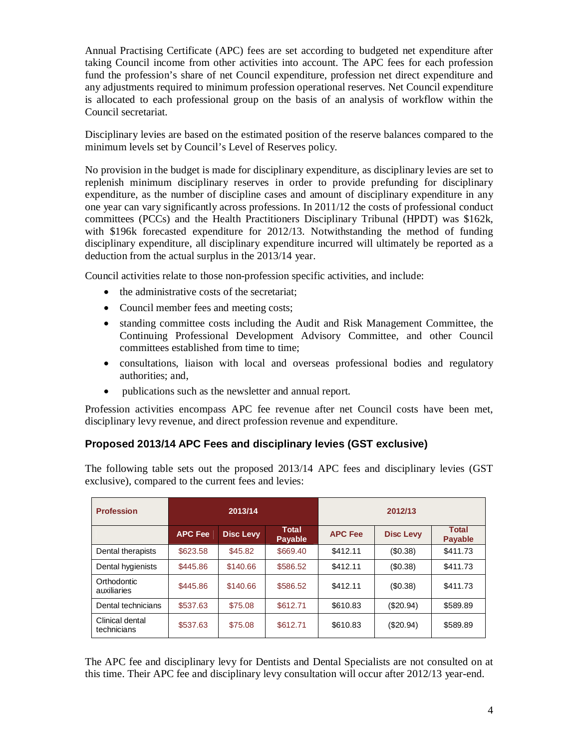Annual Practising Certificate (APC) fees are set according to budgeted net expenditure after taking Council income from other activities into account. The APC fees for each profession fund the profession's share of net Council expenditure, profession net direct expenditure and any adjustments required to minimum profession operational reserves. Net Council expenditure is allocated to each professional group on the basis of an analysis of workflow within the Council secretariat.

Disciplinary levies are based on the estimated position of the reserve balances compared to the minimum levels set by Council's Level of Reserves policy.

No provision in the budget is made for disciplinary expenditure, as disciplinary levies are set to replenish minimum disciplinary reserves in order to provide prefunding for disciplinary expenditure, as the number of discipline cases and amount of disciplinary expenditure in any one year can vary significantly across professions. In 2011/12 the costs of professional conduct committees (PCCs) and the Health Practitioners Disciplinary Tribunal (HPDT) was \$162k, with \$196k forecasted expenditure for 2012/13. Notwithstanding the method of funding disciplinary expenditure, all disciplinary expenditure incurred will ultimately be reported as a deduction from the actual surplus in the 2013/14 year.

Council activities relate to those non-profession specific activities, and include:

- the administrative costs of the secretariat;
- Council member fees and meeting costs;
- standing committee costs including the Audit and Risk Management Committee, the Continuing Professional Development Advisory Committee, and other Council committees established from time to time;
- consultations, liaison with local and overseas professional bodies and regulatory authorities; and,
- publications such as the newsletter and annual report.

Profession activities encompass APC fee revenue after net Council costs have been met, disciplinary levy revenue, and direct profession revenue and expenditure.

# **Proposed 2013/14 APC Fees and disciplinary levies (GST exclusive)**

The following table sets out the proposed 2013/14 APC fees and disciplinary levies (GST exclusive), compared to the current fees and levies:

| <b>Profession</b>              | 2013/14        |                  |                                | 2012/13        |                  |                                |
|--------------------------------|----------------|------------------|--------------------------------|----------------|------------------|--------------------------------|
|                                | <b>APC Fee</b> | <b>Disc Levy</b> | <b>Total</b><br><b>Payable</b> | <b>APC Fee</b> | <b>Disc Levy</b> | <b>Total</b><br><b>Payable</b> |
| Dental therapists              | \$623.58       | \$45.82          | \$669.40                       | \$412.11       | (\$0.38)         | \$411.73                       |
| Dental hygienists              | \$445.86       | \$140.66         | \$586.52                       | \$412.11       | (\$0.38)         | \$411.73                       |
| Orthodontic<br>auxiliaries     | \$445.86       | \$140.66         | \$586.52                       | \$412.11       | (\$0.38)         | \$411.73                       |
| Dental technicians             | \$537.63       | \$75.08          | \$612.71                       | \$610.83       | (\$20.94)        | \$589.89                       |
| Clinical dental<br>technicians | \$537.63       | \$75.08          | \$612.71                       | \$610.83       | $(\$20.94)$      | \$589.89                       |

The APC fee and disciplinary levy for Dentists and Dental Specialists are not consulted on at this time. Their APC fee and disciplinary levy consultation will occur after 2012/13 year-end.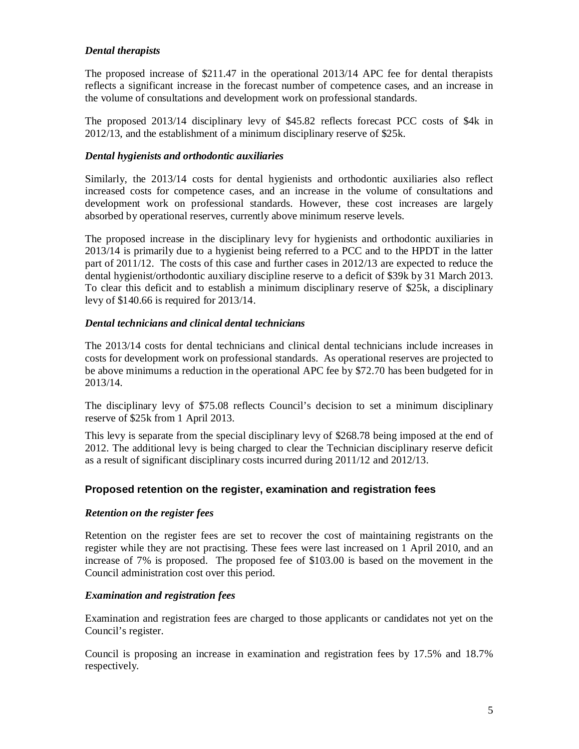# *Dental therapists*

The proposed increase of \$211.47 in the operational 2013/14 APC fee for dental therapists reflects a significant increase in the forecast number of competence cases, and an increase in the volume of consultations and development work on professional standards.

The proposed 2013/14 disciplinary levy of \$45.82 reflects forecast PCC costs of \$4k in 2012/13, and the establishment of a minimum disciplinary reserve of \$25k.

# *Dental hygienists and orthodontic auxiliaries*

Similarly, the 2013/14 costs for dental hygienists and orthodontic auxiliaries also reflect increased costs for competence cases, and an increase in the volume of consultations and development work on professional standards. However, these cost increases are largely absorbed by operational reserves, currently above minimum reserve levels.

The proposed increase in the disciplinary levy for hygienists and orthodontic auxiliaries in 2013/14 is primarily due to a hygienist being referred to a PCC and to the HPDT in the latter part of 2011/12. The costs of this case and further cases in 2012/13 are expected to reduce the dental hygienist/orthodontic auxiliary discipline reserve to a deficit of \$39k by 31 March 2013. To clear this deficit and to establish a minimum disciplinary reserve of \$25k, a disciplinary levy of \$140.66 is required for 2013/14.

#### *Dental technicians and clinical dental technicians*

The 2013/14 costs for dental technicians and clinical dental technicians include increases in costs for development work on professional standards. As operational reserves are projected to be above minimums a reduction in the operational APC fee by \$72.70 has been budgeted for in 2013/14.

The disciplinary levy of \$75.08 reflects Council's decision to set a minimum disciplinary reserve of \$25k from 1 April 2013.

This levy is separate from the special disciplinary levy of \$268.78 being imposed at the end of 2012. The additional levy is being charged to clear the Technician disciplinary reserve deficit as a result of significant disciplinary costs incurred during 2011/12 and 2012/13.

# **Proposed retention on the register, examination and registration fees**

#### *Retention on the register fees*

Retention on the register fees are set to recover the cost of maintaining registrants on the register while they are not practising. These fees were last increased on 1 April 2010, and an increase of 7% is proposed. The proposed fee of \$103.00 is based on the movement in the Council administration cost over this period.

#### *Examination and registration fees*

Examination and registration fees are charged to those applicants or candidates not yet on the Council's register.

Council is proposing an increase in examination and registration fees by 17.5% and 18.7% respectively.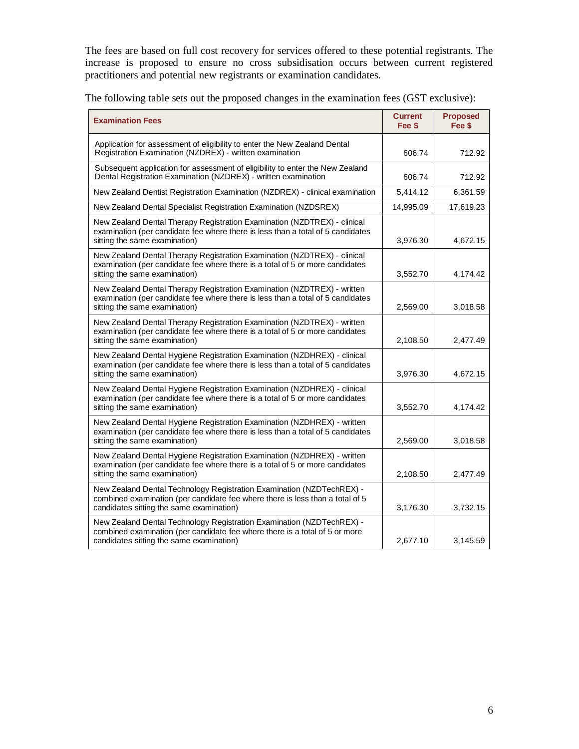The fees are based on full cost recovery for services offered to these potential registrants. The increase is proposed to ensure no cross subsidisation occurs between current registered practitioners and potential new registrants or examination candidates.

| The following table sets out the proposed changes in the examination fees (GST exclusive):                                                                                                   |                          |                           |  |
|----------------------------------------------------------------------------------------------------------------------------------------------------------------------------------------------|--------------------------|---------------------------|--|
| <b>Examination Fees</b>                                                                                                                                                                      | <b>Current</b><br>Fee \$ | <b>Proposed</b><br>Fee \$ |  |
| Application for assessment of eligibility to enter the New Zealand Dental<br>Registration Examination (NZDREX) - written examination                                                         | 606.74                   | 712.92                    |  |
| Subsequent application for assessment of eligibility to enter the New Zealand<br>Dental Registration Examination (NZDREX) - written examination                                              | 606.74                   | 712.92                    |  |
| New Zealand Dentist Registration Examination (NZDREX) - clinical examination                                                                                                                 | 5,414.12                 | 6,361.59                  |  |
| New Zealand Dental Specialist Registration Examination (NZDSREX)                                                                                                                             | 14,995.09                | 17,619.23                 |  |
| New Zealand Dental Therapy Registration Examination (NZDTREX) - clinical<br>examination (per candidate fee where there is less than a total of 5 candidates<br>sitting the same examination) | 3,976.30                 | 4,672.15                  |  |
|                                                                                                                                                                                              |                          |                           |  |

| sitting the same examination)                                                                                                                                                                      | 3,976.30 | 4,672.15 |
|----------------------------------------------------------------------------------------------------------------------------------------------------------------------------------------------------|----------|----------|
| New Zealand Dental Therapy Registration Examination (NZDTREX) - clinical<br>examination (per candidate fee where there is a total of 5 or more candidates<br>sitting the same examination)         | 3,552.70 | 4,174.42 |
| New Zealand Dental Therapy Registration Examination (NZDTREX) - written<br>examination (per candidate fee where there is less than a total of 5 candidates<br>sitting the same examination)        | 2,569.00 | 3,018.58 |
| New Zealand Dental Therapy Registration Examination (NZDTREX) - written<br>examination (per candidate fee where there is a total of 5 or more candidates<br>sitting the same examination)          | 2,108.50 | 2,477.49 |
| New Zealand Dental Hygiene Registration Examination (NZDHREX) - clinical<br>examination (per candidate fee where there is less than a total of 5 candidates<br>sitting the same examination)       | 3,976.30 | 4,672.15 |
| New Zealand Dental Hygiene Registration Examination (NZDHREX) - clinical<br>examination (per candidate fee where there is a total of 5 or more candidates<br>sitting the same examination)         | 3,552.70 | 4,174.42 |
| New Zealand Dental Hygiene Registration Examination (NZDHREX) - written<br>examination (per candidate fee where there is less than a total of 5 candidates<br>sitting the same examination)        | 2,569.00 | 3,018.58 |
| New Zealand Dental Hygiene Registration Examination (NZDHREX) - written<br>examination (per candidate fee where there is a total of 5 or more candidates<br>sitting the same examination)          | 2,108.50 | 2,477.49 |
| New Zealand Dental Technology Registration Examination (NZDTechREX) -<br>combined examination (per candidate fee where there is less than a total of 5<br>candidates sitting the same examination) | 3,176.30 | 3,732.15 |
| New Zealand Dental Technology Registration Examination (NZDTechREX) -<br>combined examination (per candidate fee where there is a total of 5 or more<br>candidates sitting the same examination)   | 2,677.10 | 3,145.59 |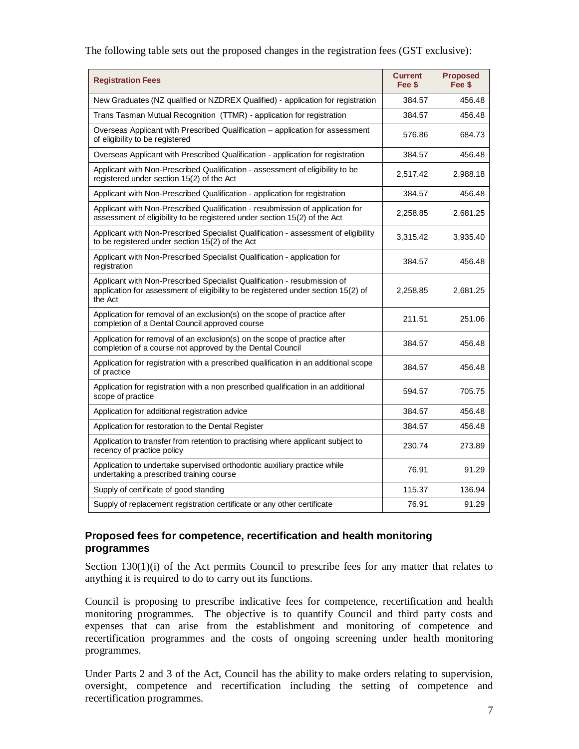The following table sets out the proposed changes in the registration fees (GST exclusive):

| <b>Registration Fees</b>                                                                                                                                                 | <b>Current</b><br>Fee \$ | <b>Proposed</b><br>Fee \$ |
|--------------------------------------------------------------------------------------------------------------------------------------------------------------------------|--------------------------|---------------------------|
| New Graduates (NZ qualified or NZDREX Qualified) - application for registration                                                                                          | 384.57                   | 456.48                    |
| Trans Tasman Mutual Recognition (TTMR) - application for registration                                                                                                    | 384.57                   | 456.48                    |
| Overseas Applicant with Prescribed Qualification - application for assessment<br>of eligibility to be registered                                                         | 576.86                   | 684.73                    |
| Overseas Applicant with Prescribed Qualification - application for registration                                                                                          | 384.57                   | 456.48                    |
| Applicant with Non-Prescribed Qualification - assessment of eligibility to be<br>registered under section 15(2) of the Act                                               | 2,517.42                 | 2,988.18                  |
| Applicant with Non-Prescribed Qualification - application for registration                                                                                               | 384.57                   | 456.48                    |
| Applicant with Non-Prescribed Qualification - resubmission of application for<br>assessment of eligibility to be registered under section 15(2) of the Act               | 2,258.85                 | 2,681.25                  |
| Applicant with Non-Prescribed Specialist Qualification - assessment of eligibility<br>to be registered under section 15(2) of the Act                                    | 3,315.42                 | 3,935.40                  |
| Applicant with Non-Prescribed Specialist Qualification - application for<br>registration                                                                                 | 384.57                   | 456.48                    |
| Applicant with Non-Prescribed Specialist Qualification - resubmission of<br>application for assessment of eligibility to be registered under section 15(2) of<br>the Act | 2,258.85                 | 2,681.25                  |
| Application for removal of an exclusion(s) on the scope of practice after<br>completion of a Dental Council approved course                                              | 211.51                   | 251.06                    |
| Application for removal of an exclusion(s) on the scope of practice after<br>completion of a course not approved by the Dental Council                                   | 384.57                   | 456.48                    |
| Application for registration with a prescribed qualification in an additional scope<br>of practice                                                                       | 384.57                   | 456.48                    |
| Application for registration with a non prescribed qualification in an additional<br>scope of practice                                                                   | 594.57                   | 705.75                    |
| Application for additional registration advice                                                                                                                           | 384.57                   | 456.48                    |
| Application for restoration to the Dental Register                                                                                                                       | 384.57                   | 456.48                    |
| Application to transfer from retention to practising where applicant subject to<br>recency of practice policy                                                            | 230.74                   | 273.89                    |
| Application to undertake supervised orthodontic auxiliary practice while<br>undertaking a prescribed training course                                                     | 76.91                    | 91.29                     |
| Supply of certificate of good standing                                                                                                                                   | 115.37                   | 136.94                    |
| Supply of replacement registration certificate or any other certificate                                                                                                  | 76.91                    | 91.29                     |

# **Proposed fees for competence, recertification and health monitoring programmes**

Section 130(1)(i) of the Act permits Council to prescribe fees for any matter that relates to anything it is required to do to carry out its functions.

Council is proposing to prescribe indicative fees for competence, recertification and health monitoring programmes. The objective is to quantify Council and third party costs and expenses that can arise from the establishment and monitoring of competence and recertification programmes and the costs of ongoing screening under health monitoring programmes.

Under Parts 2 and 3 of the Act, Council has the ability to make orders relating to supervision, oversight, competence and recertification including the setting of competence and recertification programmes.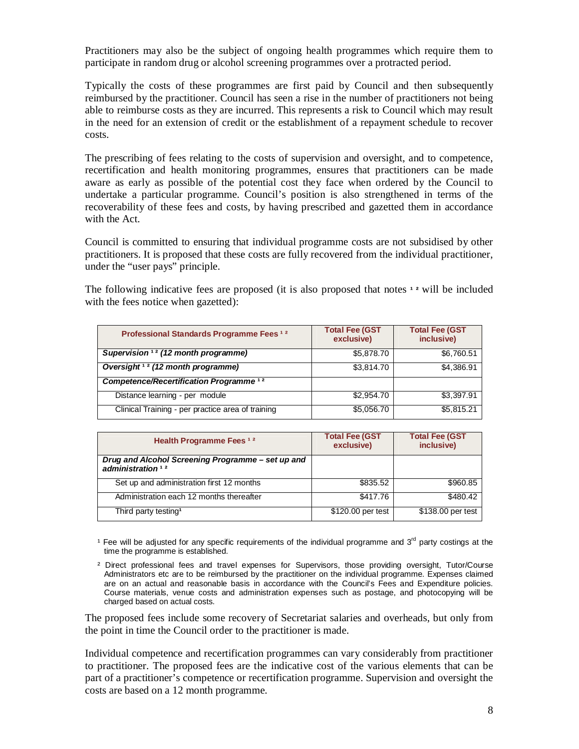Practitioners may also be the subject of ongoing health programmes which require them to participate in random drug or alcohol screening programmes over a protracted period.

Typically the costs of these programmes are first paid by Council and then subsequently reimbursed by the practitioner. Council has seen a rise in the number of practitioners not being able to reimburse costs as they are incurred. This represents a risk to Council which may result in the need for an extension of credit or the establishment of a repayment schedule to recover costs.

The prescribing of fees relating to the costs of supervision and oversight, and to competence, recertification and health monitoring programmes, ensures that practitioners can be made aware as early as possible of the potential cost they face when ordered by the Council to undertake a particular programme. Council's position is also strengthened in terms of the recoverability of these fees and costs, by having prescribed and gazetted them in accordance with the Act.

Council is committed to ensuring that individual programme costs are not subsidised by other practitioners. It is proposed that these costs are fully recovered from the individual practitioner, under the "user pays" principle.

The following indicative fees are proposed (it is also proposed that notes **1**<sup>2</sup> will be included with the fees notice when gazetted):

| Professional Standards Programme Fees 12           | <b>Total Fee (GST</b><br>exclusive) | <b>Total Fee (GST</b><br>inclusive) |
|----------------------------------------------------|-------------------------------------|-------------------------------------|
| Supervision <sup>12</sup> (12 month programme)     | \$5,878.70                          | \$6,760.51                          |
| Oversight <sup>12</sup> (12 month programme)       | \$3,814.70                          | \$4,386.91                          |
| Competence/Recertification Programme <sup>12</sup> |                                     |                                     |
| Distance learning - per module                     | \$2,954.70                          | \$3,397.91                          |
| Clinical Training - per practice area of training  | \$5,056.70                          | \$5,815.21                          |

| Health Programme Fees <sup>12</sup>                                      | <b>Total Fee (GST</b><br>exclusive) | <b>Total Fee (GST</b><br>inclusive) |
|--------------------------------------------------------------------------|-------------------------------------|-------------------------------------|
| Drug and Alcohol Screening Programme – set up and<br>administration $12$ |                                     |                                     |
| Set up and administration first 12 months                                | \$835.52                            | \$960.85                            |
| Administration each 12 months thereafter                                 | \$417.76                            | \$480.42                            |
| Third party testing <sup>1</sup>                                         | \$120.00 per test                   | \$138.00 per test                   |

<sup>1</sup> Fee will be adjusted for any specific requirements of the individual programme and  $3<sup>rd</sup>$  party costings at the time the programme is established.

The proposed fees include some recovery of Secretariat salaries and overheads, but only from the point in time the Council order to the practitioner is made.

Individual competence and recertification programmes can vary considerably from practitioner to practitioner. The proposed fees are the indicative cost of the various elements that can be part of a practitioner's competence or recertification programme. Supervision and oversight the costs are based on a 12 month programme.

² Direct professional fees and travel expenses for Supervisors, those providing oversight, Tutor/Course Administrators etc are to be reimbursed by the practitioner on the individual programme. Expenses claimed are on an actual and reasonable basis in accordance with the Council's Fees and Expenditure policies. Course materials, venue costs and administration expenses such as postage, and photocopying will be charged based on actual costs.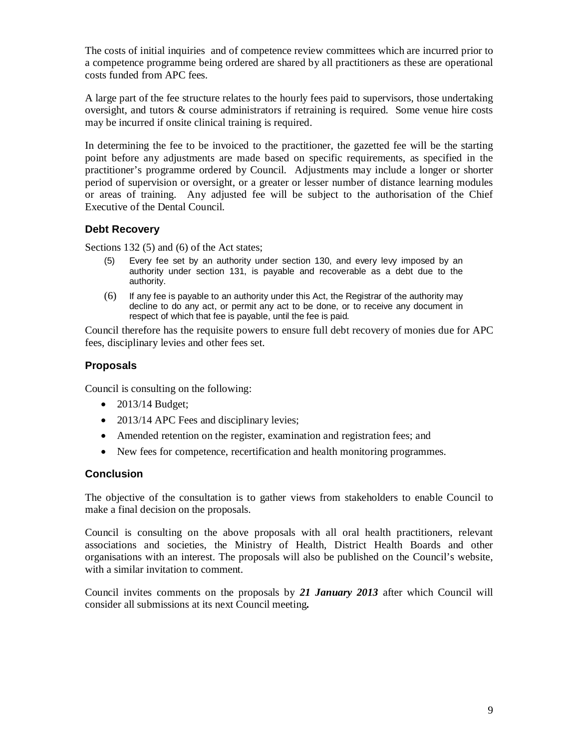The costs of initial inquiries and of competence review committees which are incurred prior to a competence programme being ordered are shared by all practitioners as these are operational costs funded from APC fees.

A large part of the fee structure relates to the hourly fees paid to supervisors, those undertaking oversight, and tutors & course administrators if retraining is required. Some venue hire costs may be incurred if onsite clinical training is required.

In determining the fee to be invoiced to the practitioner, the gazetted fee will be the starting point before any adjustments are made based on specific requirements, as specified in the practitioner's programme ordered by Council. Adjustments may include a longer or shorter period of supervision or oversight, or a greater or lesser number of distance learning modules or areas of training. Any adjusted fee will be subject to the authorisation of the Chief Executive of the Dental Council.

# **Debt Recovery**

Sections 132 (5) and (6) of the Act states;

- (5) Every fee set by an authority under section 130, and every levy imposed by an authority under section 131, is payable and recoverable as a debt due to the authority.
- (6) If any fee is payable to an authority under this Act, the Registrar of the authority may decline to do any act, or permit any act to be done, or to receive any document in respect of which that fee is payable, until the fee is paid.

Council therefore has the requisite powers to ensure full debt recovery of monies due for APC fees, disciplinary levies and other fees set.

# **Proposals**

Council is consulting on the following:

- 2013/14 Budget;
- 2013/14 APC Fees and disciplinary levies;
- Amended retention on the register, examination and registration fees; and
- New fees for competence, recertification and health monitoring programmes.

# **Conclusion**

The objective of the consultation is to gather views from stakeholders to enable Council to make a final decision on the proposals.

Council is consulting on the above proposals with all oral health practitioners, relevant associations and societies, the Ministry of Health, District Health Boards and other organisations with an interest. The proposals will also be published on the Council's website, with a similar invitation to comment.

Council invites comments on the proposals by *21 January 2013* after which Council will consider all submissions at its next Council meeting*.*